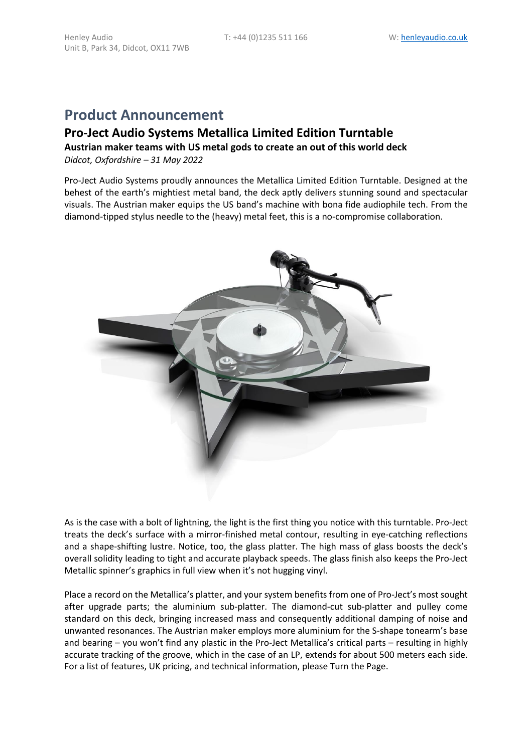# **Product Announcement**

Unit B, Park 34, Didcot, OX11 7WB

## **Pro-Ject Audio Systems Metallica Limited Edition Turntable**

#### **Austrian maker teams with US metal gods to create an out of this world deck** *Didcot, Oxfordshire – 31 May 2022*

Pro-Ject Audio Systems proudly announces the Metallica Limited Edition Turntable. Designed at the behest of the earth's mightiest metal band, the deck aptly delivers stunning sound and spectacular visuals. The Austrian maker equips the US band's machine with bona fide audiophile tech. From the diamond-tipped stylus needle to the (heavy) metal feet, this is a no-compromise collaboration.



As is the case with a bolt of lightning, the light is the first thing you notice with this turntable. Pro-Ject treats the deck's surface with a mirror-finished metal contour, resulting in eye-catching reflections and a shape-shifting lustre. Notice, too, the glass platter. The high mass of glass boosts the deck's overall solidity leading to tight and accurate playback speeds. The glass finish also keeps the Pro-Ject Metallic spinner's graphics in full view when it's not hugging vinyl.

Place a record on the Metallica's platter, and your system benefits from one of Pro-Ject's most sought after upgrade parts; the aluminium sub-platter. The diamond-cut sub-platter and pulley come standard on this deck, bringing increased mass and consequently additional damping of noise and unwanted resonances. The Austrian maker employs more aluminium for the S-shape tonearm's base and bearing – you won't find any plastic in the Pro-Ject Metallica's critical parts – resulting in highly accurate tracking of the groove, which in the case of an LP, extends for about 500 meters each side. For a list of features, UK pricing, and technical information, please Turn the Page.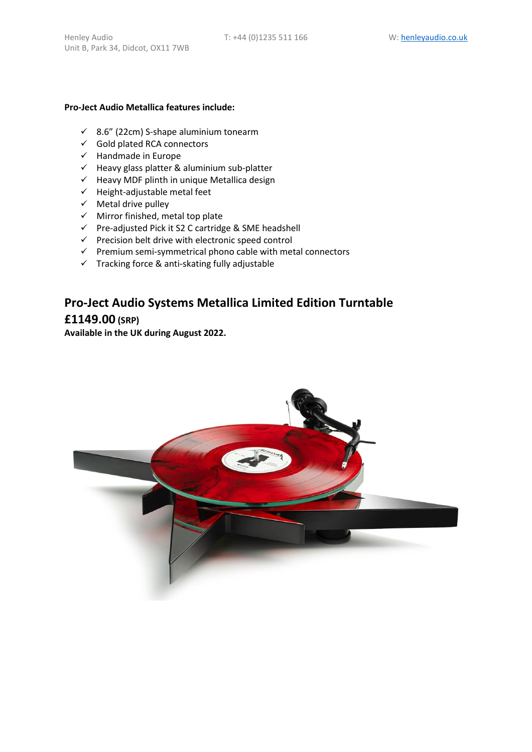#### **Pro-Ject Audio Metallica features include:**

- ✓ 8.6" (22cm) S-shape aluminium tonearm
- ✓ Gold plated RCA connectors
- ✓ Handmade in Europe
- ✓ Heavy glass platter & aluminium sub-platter
- ✓ Heavy MDF plinth in unique Metallica design
- $\checkmark$  Height-adjustable metal feet
- ✓ Metal drive pulley
- ✓ Mirror finished, metal top plate
- ✓ Pre-adjusted Pick it S2 C cartridge & SME headshell
- $\checkmark$  Precision belt drive with electronic speed control
- $\checkmark$  Premium semi-symmetrical phono cable with metal connectors
- $\checkmark$  Tracking force & anti-skating fully adjustable

# **Pro-Ject Audio Systems Metallica Limited Edition Turntable £1149.00 (SRP)**

**Available in the UK during August 2022.** 

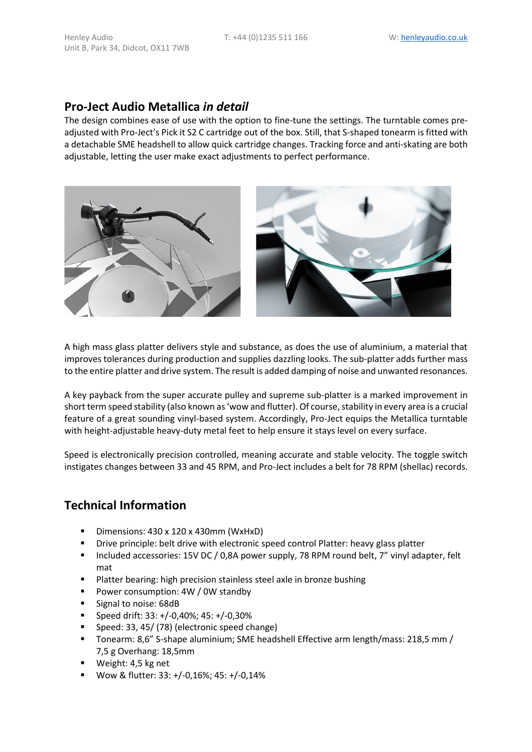### **Pro-Ject Audio Metallica** *in detail*

The design combines ease of use with the option to fine-tune the settings. The turntable comes preadjusted with Pro-Ject's Pick it S2 C cartridge out of the box. Still, that S-shaped tonearm is fitted with a detachable SME headshell to allow quick cartridge changes. Tracking force and anti-skating are both adjustable, letting the user make exact adjustments to perfect performance.



A high mass glass platter delivers style and substance, as does the use of aluminium, a material that improves tolerances during production and supplies dazzling looks. The sub-platter adds further mass to the entire platter and drive system. The result is added damping of noise and unwanted resonances.

A key payback from the super accurate pulley and supreme sub-platter is a marked improvement in short term speed stability (also known as 'wow and flutter). Of course, stability in every area is a crucial feature of a great sounding vinyl-based system. Accordingly, Pro-Ject equips the Metallica turntable with height-adjustable heavy-duty metal feet to help ensure it stays level on every surface.

Speed is electronically precision controlled, meaning accurate and stable velocity. The toggle switch instigates changes between 33 and 45 RPM, and Pro-Ject includes a belt for 78 RPM (shellac) records.

## **Technical Information**

- Dimensions: 430 x 120 x 430mm (WxHxD)
- Drive principle: belt drive with electronic speed control Platter: heavy glass platter
- Included accessories: 15V DC / 0,8A power supply, 78 RPM round belt, 7" vinyl adapter, felt mat
- Platter bearing: high precision stainless steel axle in bronze bushing
- Power consumption: 4W / 0W standby
- Signal to noise: 68dB
- **•** Speed drift:  $33: +/-0,40\%$ ;  $45: +/-0,30\%$
- Speed: 33, 45/ (78) (electronic speed change)
- Tonearm: 8,6" S-shape aluminium; SME headshell Effective arm length/mass: 218,5 mm / 7,5 g Overhang: 18,5mm
- Weight: 4,5 kg net
- Wow & flutter: 33: +/-0,16%; 45: +/-0,14%